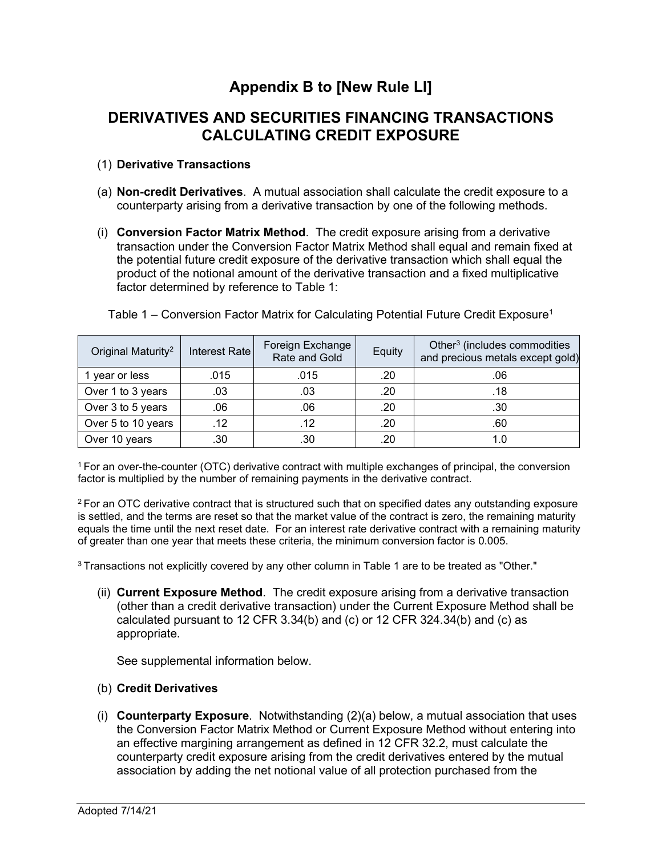# **Appendix B to [New Rule LI]**

# **DERIVATIVES AND SECURITIES FINANCING TRANSACTIONS CALCULATING CREDIT EXPOSURE**

# (1) **Derivative Transactions**

- (a) **Non-credit Derivatives**. A mutual association shall calculate the credit exposure to a counterparty arising from a derivative transaction by one of the following methods.
- (i) **Conversion Factor Matrix Method**. The credit exposure arising from a derivative transaction under the Conversion Factor Matrix Method shall equal and remain fixed at the potential future credit exposure of the derivative transaction which shall equal the product of the notional amount of the derivative transaction and a fixed multiplicative factor determined by reference to Table 1:

| Original Maturity <sup>2</sup> | Interest Rate | Foreign Exchange<br>Rate and Gold | Equity | Other <sup>3</sup> (includes commodities<br>and precious metals except gold) |
|--------------------------------|---------------|-----------------------------------|--------|------------------------------------------------------------------------------|
| 1 year or less                 | .015          | .015                              | .20    | .06                                                                          |
| Over 1 to 3 years              | .03           | .03                               | .20    | .18                                                                          |
| Over 3 to 5 years              | .06           | .06                               | .20    | .30                                                                          |
| Over 5 to 10 years             | .12           | .12                               | .20    | .60                                                                          |
| Over 10 years                  | .30           | .30                               | .20    | 1.0                                                                          |

Table 1 – Conversion Factor Matrix for Calculating Potential Future Credit Exposure<sup>1</sup>

<sup>1</sup> For an over-the-counter (OTC) derivative contract with multiple exchanges of principal, the conversion factor is multiplied by the number of remaining payments in the derivative contract.

<sup>2</sup> For an OTC derivative contract that is structured such that on specified dates any outstanding exposure is settled, and the terms are reset so that the market value of the contract is zero, the remaining maturity equals the time until the next reset date. For an interest rate derivative contract with a remaining maturity of greater than one year that meets these criteria, the minimum conversion factor is 0.005.

<sup>3</sup> Transactions not explicitly covered by any other column in Table 1 are to be treated as "Other."

(ii) **Current Exposure Method**. The credit exposure arising from a derivative transaction (other than a credit derivative transaction) under the Current Exposure Method shall be calculated pursuant to 12 CFR  $3.34(b)$  and (c) or 12 CFR  $324.34(b)$  and (c) as appropriate.

See supplemental information below.

#### (b) **Credit Derivatives**

(i) **Counterparty Exposure**. Notwithstanding (2)(a) below, a mutual association that uses the Conversion Factor Matrix Method or Current Exposure Method without entering into an effective margining arrangement as defined in 12 CFR 32.2, must calculate the counterparty credit exposure arising from the credit derivatives entered by the mutual association by adding the net notional value of all protection purchased from the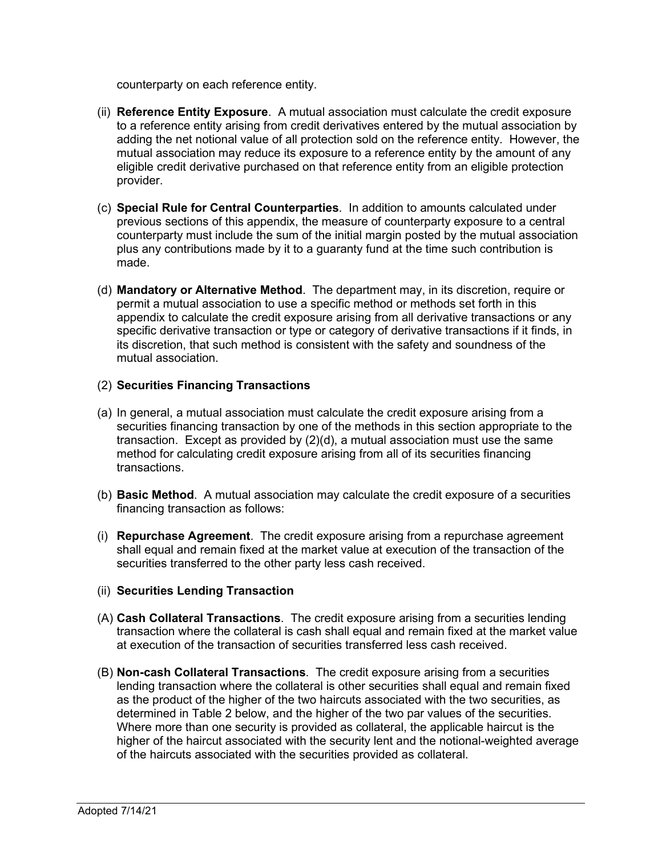counterparty on each reference entity.

- (ii) **Reference Entity Exposure**. A mutual association must calculate the credit exposure to a reference entity arising from credit derivatives entered by the mutual association by adding the net notional value of all protection sold on the reference entity. However, the mutual association may reduce its exposure to a reference entity by the amount of any eligible credit derivative purchased on that reference entity from an eligible protection provider.
- (c) **Special Rule for Central Counterparties**. In addition to amounts calculated under previous sections of this appendix, the measure of counterparty exposure to a central counterparty must include the sum of the initial margin posted by the mutual association plus any contributions made by it to a guaranty fund at the time such contribution is made.
- (d) **Mandatory or Alternative Method**. The department may, in its discretion, require or permit a mutual association to use a specific method or methods set forth in this appendix to calculate the credit exposure arising from all derivative transactions or any specific derivative transaction or type or category of derivative transactions if it finds, in its discretion, that such method is consistent with the safety and soundness of the mutual association.

#### (2) **Securities Financing Transactions**

- (a) In general, a mutual association must calculate the credit exposure arising from a securities financing transaction by one of the methods in this section appropriate to the transaction. Except as provided by (2)(d), a mutual association must use the same method for calculating credit exposure arising from all of its securities financing transactions.
- (b) **Basic Method**. A mutual association may calculate the credit exposure of a securities financing transaction as follows:
- (i) **Repurchase Agreement**. The credit exposure arising from a repurchase agreement shall equal and remain fixed at the market value at execution of the transaction of the securities transferred to the other party less cash received.

#### (ii) **Securities Lending Transaction**

- (A) **Cash Collateral Transactions**. The credit exposure arising from a securities lending transaction where the collateral is cash shall equal and remain fixed at the market value at execution of the transaction of securities transferred less cash received.
- (B) **Non-cash Collateral Transactions**. The credit exposure arising from a securities lending transaction where the collateral is other securities shall equal and remain fixed as the product of the higher of the two haircuts associated with the two securities, as determined in Table 2 below, and the higher of the two par values of the securities. Where more than one security is provided as collateral, the applicable haircut is the higher of the haircut associated with the security lent and the notional-weighted average of the haircuts associated with the securities provided as collateral.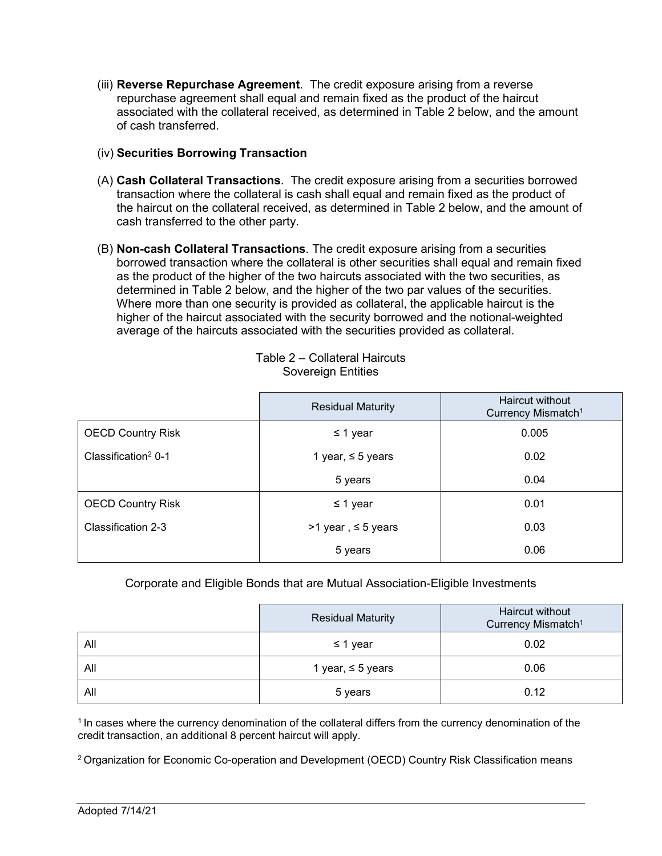- (iii) **Reverse Repurchase Agreement**. The credit exposure arising from a reverse repurchase agreement shall equal and remain fixed as the product of the haircut associated with the collateral received, as determined in Table 2 below, and the amount of cash transferred.
- (iv) **Securities Borrowing Transaction**
- (A) **Cash Collateral Transactions**. The credit exposure arising from a securities borrowed transaction where the collateral is cash shall equal and remain fixed as the product of the haircut on the collateral received, as determined in Table 2 below, and the amount of cash transferred to the other party.
- (B) **Non-cash Collateral Transactions**. The credit exposure arising from a securities borrowed transaction where the collateral is other securities shall equal and remain fixed as the product of the higher of the two haircuts associated with the two securities, as determined in Table 2 below, and the higher of the two par values of the securities. Where more than one security is provided as collateral, the applicable haircut is the higher of the haircut associated with the security borrowed and the notional-weighted average of the haircuts associated with the securities provided as collateral.

|                                   | <b>Residual Maturity</b> | <b>Haircut without</b><br>Currency Mismatch <sup>1</sup> |
|-----------------------------------|--------------------------|----------------------------------------------------------|
| <b>OECD Country Risk</b>          | $\leq$ 1 year            | 0.005                                                    |
| Classification <sup>2</sup> $0-1$ | 1 year, $\leq$ 5 years   | 0.02                                                     |
|                                   | 5 years                  | 0.04                                                     |
| <b>OECD Country Risk</b>          | $\leq$ 1 year            | 0.01                                                     |
| Classification 2-3                | >1 year, ≤ 5 years       | 0.03                                                     |
|                                   | 5 years                  | 0.06                                                     |

Table 2 – Collateral Haircuts Sovereign Entities

Corporate and Eligible Bonds that are Mutual Association-Eligible Investments

|     | <b>Residual Maturity</b> | Haircut without<br>Currency Mismatch <sup>1</sup> |
|-----|--------------------------|---------------------------------------------------|
| All | $\leq$ 1 year            | 0.02                                              |
| All | 1 year, $\leq$ 5 years   | 0.06                                              |
| All | 5 years                  | 0.12                                              |

<sup>1</sup> In cases where the currency denomination of the collateral differs from the currency denomination of the credit transaction, an additional 8 percent haircut will apply.

<sup>2</sup> Organization for Economic Co-operation and Development (OECD) Country Risk Classification means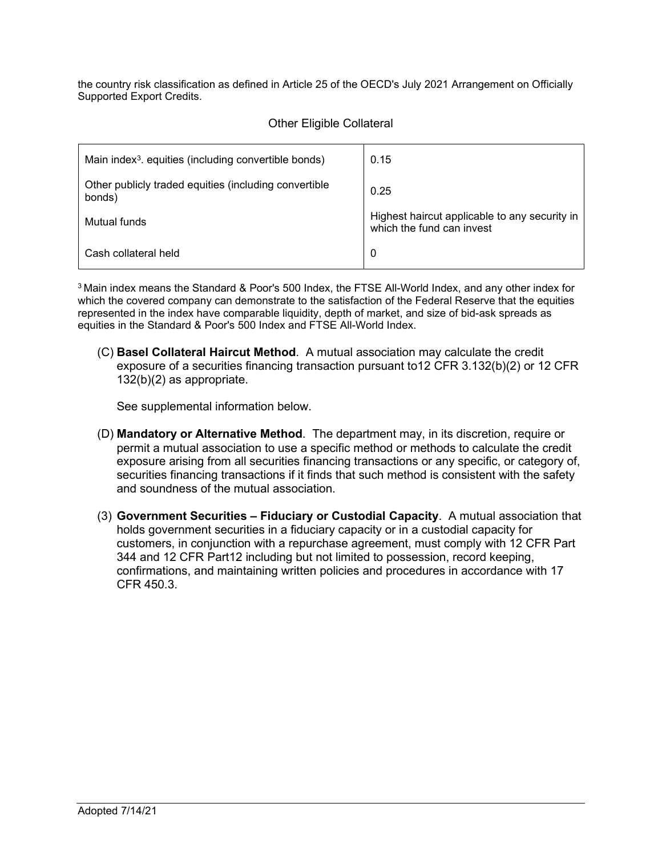the country risk classification as defined in Article 25 of the OECD's July 2021 Arrangement on Officially Supported Export Credits.

|  |  | <b>Other Eligible Collateral</b> |
|--|--|----------------------------------|
|--|--|----------------------------------|

| Main index <sup>3</sup> . equities (including convertible bonds) | 0.15                                                                       |
|------------------------------------------------------------------|----------------------------------------------------------------------------|
| Other publicly traded equities (including convertible<br>bonds)  | 0.25                                                                       |
| Mutual funds                                                     | Highest haircut applicable to any security in<br>which the fund can invest |
| Cash collateral held                                             | 0                                                                          |

<sup>3</sup> Main index means the Standard & Poor's 500 Index, the FTSE All-World Index, and any other index for which the covered company can demonstrate to the satisfaction of the Federal Reserve that the equities represented in the index have comparable liquidity, depth of market, and size of bid-ask spreads as equities in the Standard & Poor's 500 Index and FTSE All-World Index.

(C) **Basel Collateral Haircut Method**. A mutual association may calculate the credit exposure of a securities financing transaction pursuant to12 CFR 3.132(b)(2) or 12 CFR 132(b)(2) as appropriate.

See supplemental information below.

- (D) **Mandatory or Alternative Method**. The department may, in its discretion, require or permit a mutual association to use a specific method or methods to calculate the credit exposure arising from all securities financing transactions or any specific, or category of, securities financing transactions if it finds that such method is consistent with the safety and soundness of the mutual association.
- (3) **Government Securities – Fiduciary or Custodial Capacity**. A mutual association that holds government securities in a fiduciary capacity or in a custodial capacity for customers, in conjunction with a repurchase agreement, must comply with 12 CFR Part 344 and 12 CFR Part12 including but not limited to possession, record keeping, confirmations, and maintaining written policies and procedures in accordance with 17 CFR 450.3.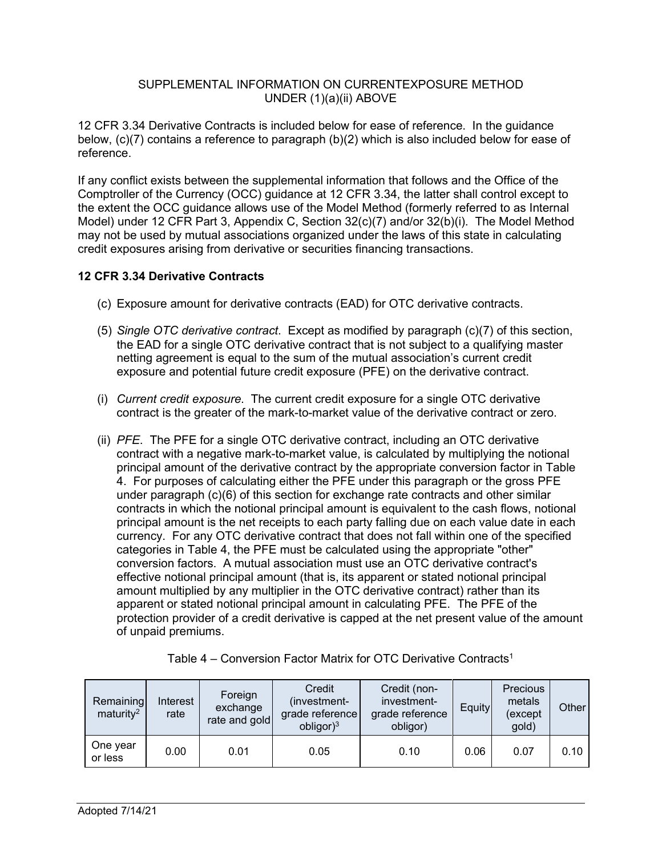### SUPPLEMENTAL INFORMATION ON CURRENTEXPOSURE METHOD UNDER (1)(a)(ii) ABOVE

12 CFR 3.34 Derivative Contracts is included below for ease of reference. In the guidance below, (c)(7) contains a reference to paragraph (b)(2) which is also included below for ease of reference.

If any conflict exists between the supplemental information that follows and the Office of the Comptroller of the Currency (OCC) guidance at 12 CFR 3.34, the latter shall control except to the extent the OCC guidance allows use of the Model Method (formerly referred to as Internal Model) under 12 CFR Part 3, Appendix C, Section 32(c)(7) and/or 32(b)(i). The Model Method may not be used by mutual associations organized under the laws of this state in calculating credit exposures arising from derivative or securities financing transactions.

# **12 CFR 3.34 Derivative Contracts**

- (c) Exposure amount for derivative contracts (EAD) for OTC derivative contracts.
- (5) *Single OTC derivative contract*. Except as modified by paragraph (c)(7) of this section, the EAD for a single OTC derivative contract that is not subject to a qualifying master netting agreement is equal to the sum of the mutual association's current credit exposure and potential future credit exposure (PFE) on the derivative contract.
- (i) *Current credit exposure*. The current credit exposure for a single OTC derivative contract is the greater of the mark-to-market value of the derivative contract or zero.
- (ii) *PFE*. The PFE for a single OTC derivative contract, including an OTC derivative contract with a negative mark-to-market value, is calculated by multiplying the notional principal amount of the derivative contract by the appropriate conversion factor in Table 4. For purposes of calculating either the PFE under this paragraph or the gross PFE under paragraph (c)(6) of this section for exchange rate contracts and other similar contracts in which the notional principal amount is equivalent to the cash flows, notional principal amount is the net receipts to each party falling due on each value date in each currency. For any OTC derivative contract that does not fall within one of the specified categories in Table 4, the PFE must be calculated using the appropriate "other" conversion factors. A mutual association must use an OTC derivative contract's effective notional principal amount (that is, its apparent or stated notional principal amount multiplied by any multiplier in the OTC derivative contract) rather than its apparent or stated notional principal amount in calculating PFE. The PFE of the protection provider of a credit derivative is capped at the net present value of the amount of unpaid premiums.

| Remaining<br>maturity <sup>2</sup> | Interest<br>rate | Foreign<br>exchange<br>rate and gold | Credit<br>(investment-<br>grade reference<br>obligor) <sup>3</sup> | Credit (non-<br>investment-<br>grade reference<br>obligor) | Equity | Precious<br>metals<br>(except<br>gold) | Other |
|------------------------------------|------------------|--------------------------------------|--------------------------------------------------------------------|------------------------------------------------------------|--------|----------------------------------------|-------|
| One year<br>or less                | 0.00             | 0.01                                 | 0.05                                                               | 0.10                                                       | 0.06   | 0.07                                   | 0.10  |

|  |  | Table 4 – Conversion Factor Matrix for OTC Derivative Contracts <sup>1</sup> |
|--|--|------------------------------------------------------------------------------|
|--|--|------------------------------------------------------------------------------|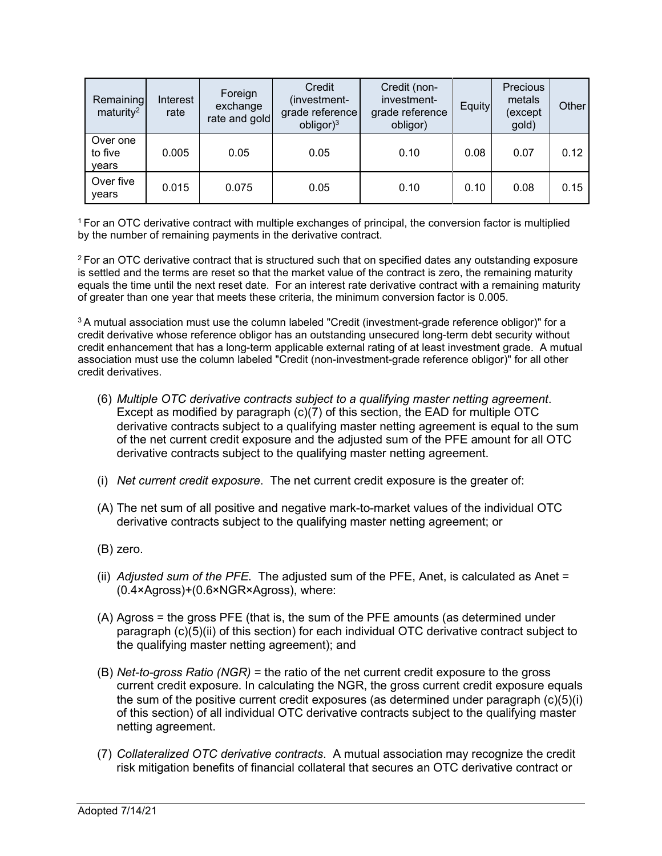| Remaining<br>maturity <sup>2</sup> | Interest<br>rate | Foreign<br>exchange<br>rate and gold | Credit<br>(investment-<br>grade reference<br>obligor) <sup>3</sup> | Credit (non-<br>investment-<br>grade reference<br>obligor) | Equity | <b>Precious</b><br>metals<br>(except<br>gold) | Other |
|------------------------------------|------------------|--------------------------------------|--------------------------------------------------------------------|------------------------------------------------------------|--------|-----------------------------------------------|-------|
| Over one<br>to five<br>vears       | 0.005            | 0.05                                 | 0.05                                                               | 0.10                                                       | 0.08   | 0.07                                          | 0.12  |
| Over five<br>years                 | 0.015            | 0.075                                | 0.05                                                               | 0.10                                                       | 0.10   | 0.08                                          | 0.15  |

<sup>1</sup> For an OTC derivative contract with multiple exchanges of principal, the conversion factor is multiplied by the number of remaining payments in the derivative contract.

<sup>2</sup> For an OTC derivative contract that is structured such that on specified dates any outstanding exposure is settled and the terms are reset so that the market value of the contract is zero, the remaining maturity equals the time until the next reset date. For an interest rate derivative contract with a remaining maturity of greater than one year that meets these criteria, the minimum conversion factor is 0.005.

<sup>3</sup> A mutual association must use the column labeled "Credit (investment-grade reference obligor)" for a credit derivative whose reference obligor has an outstanding unsecured long-term debt security without credit enhancement that has a long-term applicable external rating of at least investment grade. A mutual association must use the column labeled "Credit (non-investment-grade reference obligor)" for all other credit derivatives.

- (6) *Multiple OTC derivative contracts subject to a qualifying master netting agreement*. Except as modified by paragraph (c)(7) of this section, the EAD for multiple OTC derivative contracts subject to a qualifying master netting agreement is equal to the sum of the net current credit exposure and the adjusted sum of the PFE amount for all OTC derivative contracts subject to the qualifying master netting agreement.
- (i) *Net current credit exposure*. The net current credit exposure is the greater of:
- (A) The net sum of all positive and negative mark-to-market values of the individual OTC derivative contracts subject to the qualifying master netting agreement; or
- (B) zero.
- (ii) *Adjusted sum of the PFE*. The adjusted sum of the PFE, Anet, is calculated as Anet = (0.4×Agross)+(0.6×NGR×Agross), where:
- (A) Agross = the gross PFE (that is, the sum of the PFE amounts (as determined under paragraph (c)(5)(ii) of this section) for each individual OTC derivative contract subject to the qualifying master netting agreement); and
- (B) *Net-to-gross Ratio (NGR)* = the ratio of the net current credit exposure to the gross current credit exposure. In calculating the NGR, the gross current credit exposure equals the sum of the positive current credit exposures (as determined under paragraph  $(c)(5)(i)$ ) of this section) of all individual OTC derivative contracts subject to the qualifying master netting agreement.
- (7) *Collateralized OTC derivative contracts*. A mutual association may recognize the credit risk mitigation benefits of financial collateral that secures an OTC derivative contract or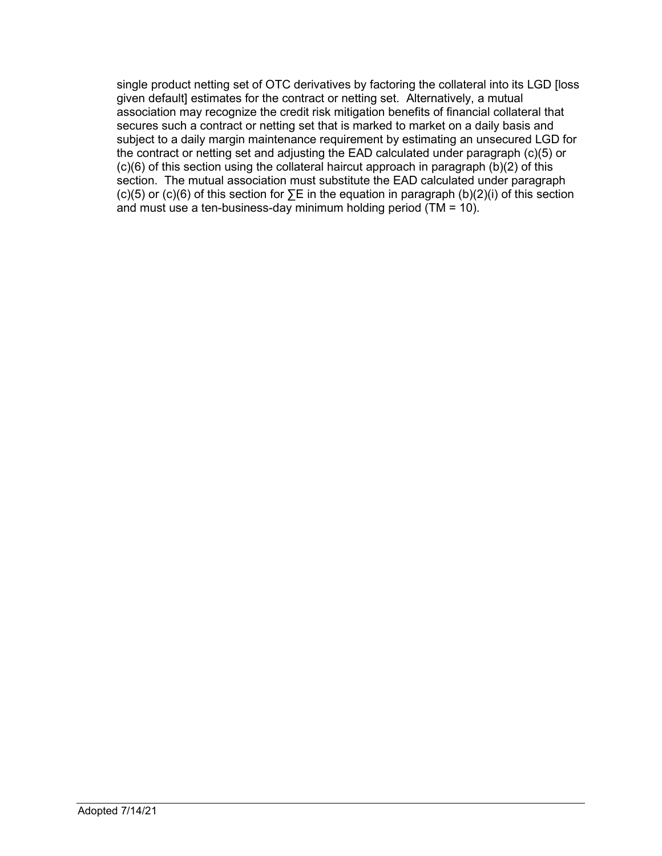single product netting set of OTC derivatives by factoring the collateral into its LGD [loss given default] estimates for the contract or netting set. Alternatively, a mutual association may recognize the credit risk mitigation benefits of financial collateral that secures such a contract or netting set that is marked to market on a daily basis and subject to a daily margin maintenance requirement by estimating an unsecured LGD for the contract or netting set and adjusting the EAD calculated under paragraph (c)(5) or (c)(6) of this section using the collateral haircut approach in paragraph (b)(2) of this section. The mutual association must substitute the EAD calculated under paragraph (c)(5) or (c)(6) of this section for ∑E in the equation in paragraph (b)(2)(i) of this section and must use a ten-business-day minimum holding period (TM = 10).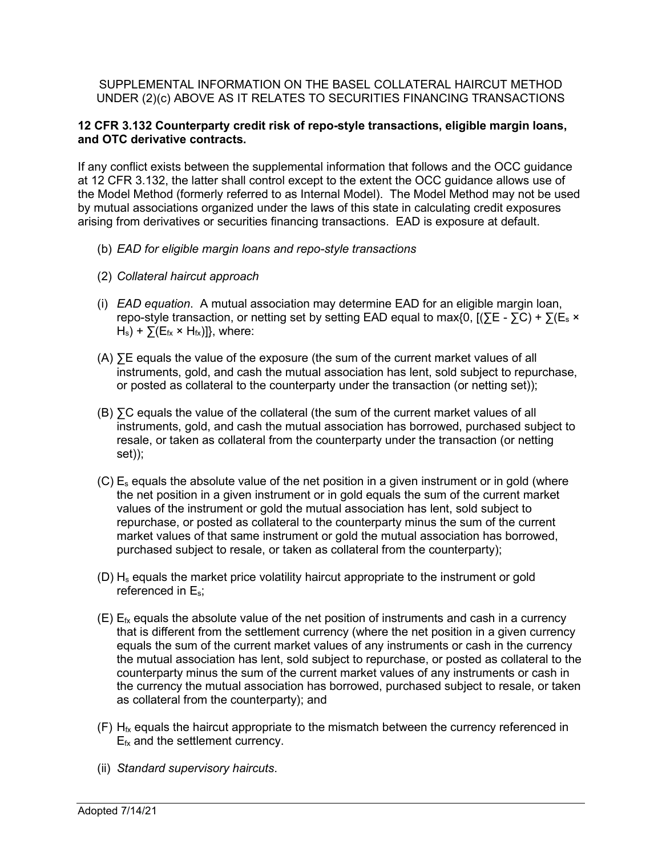SUPPLEMENTAL INFORMATION ON THE BASEL COLLATERAL HAIRCUT METHOD UNDER (2)(c) ABOVE AS IT RELATES TO SECURITIES FINANCING TRANSACTIONS

#### **12 CFR 3.132 Counterparty credit risk of repo-style transactions, eligible margin loans, and OTC derivative contracts.**

If any conflict exists between the supplemental information that follows and the OCC guidance at 12 CFR 3.132, the latter shall control except to the extent the OCC guidance allows use of the Model Method (formerly referred to as Internal Model). The Model Method may not be used by mutual associations organized under the laws of this state in calculating credit exposures arising from derivatives or securities financing transactions. EAD is exposure at default.

- (b) *EAD for eligible margin loans and repo-style transactions*
- (2) *Collateral haircut approach*
- (i) *EAD equation*. A mutual association may determine EAD for an eligible margin loan, repo-style transaction, or netting set by setting EAD equal to max{0,  $[(\Sigma E - \Sigma C) + \Sigma (E_s \times E_s)]$  $H_s$ ) +  $\Sigma(E_{fx} \times H_{fx})$ ], where:
- (A) ∑E equals the value of the exposure (the sum of the current market values of all instruments, gold, and cash the mutual association has lent, sold subject to repurchase, or posted as collateral to the counterparty under the transaction (or netting set));
- (B) ∑C equals the value of the collateral (the sum of the current market values of all instruments, gold, and cash the mutual association has borrowed, purchased subject to resale, or taken as collateral from the counterparty under the transaction (or netting set));
- $(C)$  E<sub>s</sub> equals the absolute value of the net position in a given instrument or in gold (where the net position in a given instrument or in gold equals the sum of the current market values of the instrument or gold the mutual association has lent, sold subject to repurchase, or posted as collateral to the counterparty minus the sum of the current market values of that same instrument or gold the mutual association has borrowed, purchased subject to resale, or taken as collateral from the counterparty);
- $(D)$  H<sub>s</sub> equals the market price volatility haircut appropriate to the instrument or gold referenced in Es;
- $(E)$  E<sub>fx</sub> equals the absolute value of the net position of instruments and cash in a currency that is different from the settlement currency (where the net position in a given currency equals the sum of the current market values of any instruments or cash in the currency the mutual association has lent, sold subject to repurchase, or posted as collateral to the counterparty minus the sum of the current market values of any instruments or cash in the currency the mutual association has borrowed, purchased subject to resale, or taken as collateral from the counterparty); and
- $(F)$  H<sub>fx</sub> equals the haircut appropriate to the mismatch between the currency referenced in  $E_{fx}$  and the settlement currency.
- (ii) *Standard supervisory haircuts*.